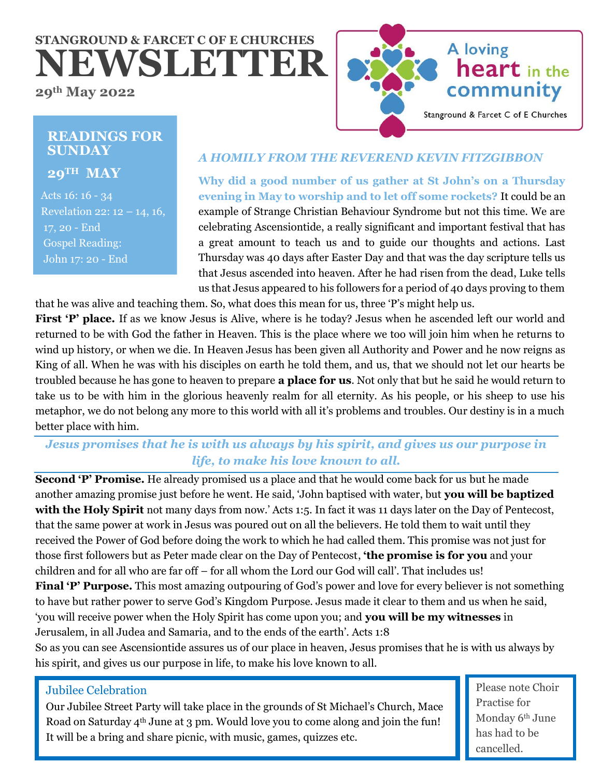# **STANGROUND & FARCET C OF E CHURCHES NEWSLETTER**

**29th May 2022**



# **READINGS FOR SUNDAY**

**29TH MAY**

 Acts 16: 16 - 34 Revelation 22:  $12 - 14$ , 16, 17, 20 - End Gospel Reading: John 17: 20 - End

# *A HOMILY FROM THE REVEREND KEVIN FITZGIBBON*

**Why did a good number of us gather at St John's on a Thursday evening in May to worship and to let off some rockets?** It could be an example of Strange Christian Behaviour Syndrome but not this time. We are celebrating Ascensiontide, a really significant and important festival that has a great amount to teach us and to guide our thoughts and actions. Last Thursday was 40 days after Easter Day and that was the day scripture tells us that Jesus ascended into heaven. After he had risen from the dead, Luke tells us that Jesus appeared to his followers for a period of 40 days proving to them

that he was alive and teaching them. So, what does this mean for us, three 'P's might help us. First 'P' place. If as we know Jesus is Alive, where is he today? Jesus when he ascended left our world and returned to be with God the father in Heaven. This is the place where we too will join him when he returns to wind up history, or when we die. In Heaven Jesus has been given all Authority and Power and he now reigns as King of all. When he was with his disciples on earth he told them, and us, that we should not let our hearts be troubled because he has gone to heaven to prepare **a place for us**. Not only that but he said he would return to take us to be with him in the glorious heavenly realm for all eternity. As his people, or his sheep to use his metaphor, we do not belong any more to this world with all it's problems and troubles. Our destiny is in a much better place with him.

# *Jesus promises that he is with us always by his spirit, and gives us our purpose in life, to make his love known to all.*

**Second 'P' Promise.** He already promised us a place and that he would come back for us but he made another amazing promise just before he went. He said, 'John baptised with water, but **you will be baptized with the Holy Spirit** not many days from now.' Acts 1:5. In fact it was 11 days later on the Day of Pentecost, that the same power at work in Jesus was poured out on all the believers. He told them to wait until they received the Power of God before doing the work to which he had called them. This promise was not just for those first followers but as Peter made clear on the Day of Pentecost, **'the promise is for you** and your children and for all who are far off – for all whom the Lord our God will call'. That includes us! Final 'P' Purpose. This most amazing outpouring of God's power and love for every believer is not something to have but rather power to serve God's Kingdom Purpose. Jesus made it clear to them and us when he said, 'you will receive power when the Holy Spirit has come upon you; and **you will be my witnesses** in Jerusalem, in all Judea and Samaria, and to the ends of the earth'. Acts 1:8

So as you can see Ascensiontide assures us of our place in heaven, Jesus promises that he is with us always by his spirit, and gives us our purpose in life, to make his love known to all.

# Jubilee Celebration

Our Jubilee Street Party will take place in the grounds of St Michael's Church, Mace Road on Saturday 4<sup>th</sup> June at 3 pm. Would love you to come along and join the fun! It will be a bring and share picnic, with music, games, quizzes etc.

Please note Choir Practise for Monday 6th June has had to be cancelled.